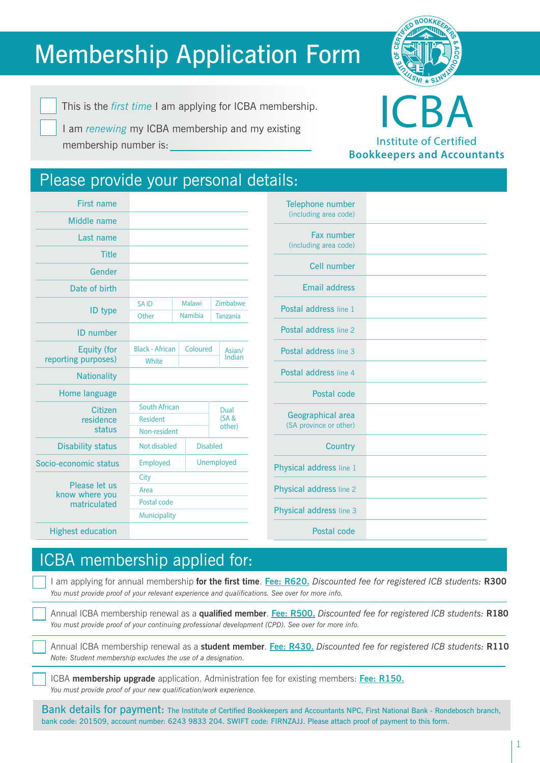# Membership Application Form

**SN<sup>I</sup> I**  $\frac{1}{2}$ **OF C** EFFECTIVE BOOKKEES **& A C C** 

This is the *first time* I am applying for ICBA membership.

I am *renewing* my ICBA membership and my existing membership number is:



Institute of Certified **Bookkeepers and Accountants**

### Please provide your personal details:

| <b>First name</b>                               |                        |                |  |                 |  |
|-------------------------------------------------|------------------------|----------------|--|-----------------|--|
| <b>Middle name</b>                              |                        |                |  |                 |  |
| Last name                                       |                        |                |  |                 |  |
| <b>Title</b>                                    |                        |                |  |                 |  |
| Gender                                          |                        |                |  |                 |  |
| Date of birth                                   |                        |                |  |                 |  |
| <b>ID</b> type                                  | <b>SAID</b>            | <b>Malawi</b>  |  | Zimbabwe        |  |
|                                                 | Other                  | <b>Namibia</b> |  | <b>Tanzania</b> |  |
| <b>ID</b> number                                |                        |                |  |                 |  |
| <b>Equity (for</b><br>reporting purposes)       | <b>Black - African</b> | Coloured       |  | Asian/          |  |
|                                                 | White                  |                |  | Indian          |  |
| <b>Nationality</b>                              |                        |                |  |                 |  |
| Home language                                   |                        |                |  |                 |  |
| Citizen<br>residence<br>status                  | <b>South African</b>   |                |  | Dual<br>(SA &   |  |
|                                                 | <b>Resident</b>        |                |  |                 |  |
|                                                 | other)<br>Non-resident |                |  |                 |  |
| <b>Disability status</b>                        | Not disabled           |                |  | <b>Disabled</b> |  |
| Socio-economic status                           | <b>Employed</b>        |                |  | Unemployed      |  |
| Please let us<br>know where you<br>matriculated | City                   |                |  |                 |  |
|                                                 | Area                   |                |  |                 |  |
|                                                 | Postal code            |                |  |                 |  |
|                                                 | <b>Municipality</b>    |                |  |                 |  |
| <b>Highest education</b>                        |                        |                |  |                 |  |

| Telephone number<br>(including area code)   |  |
|---------------------------------------------|--|
| Fax number<br>(including area code)         |  |
| Cell number                                 |  |
| <b>Email address</b>                        |  |
| Postal address line 1                       |  |
| Postal address line 2                       |  |
| Postal address line 3                       |  |
| Postal address line 4                       |  |
| Postal code                                 |  |
| Geographical area<br>(SA province or other) |  |
| <b>Country</b>                              |  |
| Physical address line 1                     |  |
| Physical address line 2                     |  |
| Physical address line 3                     |  |
| <b>Postal code</b>                          |  |

## ICBA membership applied for:

I am applying for annual membership **for the first time**. **Fee: R620.** *Discounted fee for registered ICB students:* **R300** *You must provide proof of your relevant experience and qualifications. See over for more info.*

Annual ICBA membership renewal as a **qualified member**. **Fee: R500.** *Discounted fee for registered ICB students:* **R180** *You must provide proof of your continuing professional development (CPD). See over for more info.*

Annual ICBA membership renewal as a **student member**. **Fee: R430.** *Discounted fee for registered ICB students:* **R110** *Note: Student membership excludes the use of a designation.* 

ICBA **membership upgrade** application. Administration fee for existing members: **Fee: R150.** *You must provide proof of your new qualification/work experience.* 

Bank details for payment: The Institute of Certified Bookkeepers and Accountants NPC, First National Bank - Rondebosch branch, bank code: 201509, account number: 6243 9833 204. SWIFT code: FIRNZAJJ. Please attach proof of payment to this form.